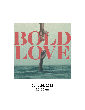

**June 26, 2022 10:00am**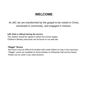# **WELCOME**

At LBC we are transformed by the gospel to be rooted in Christ, connected in community, and engaged in mission.

### **LBC Kids is offered during the service**

The children should be signed in before the service begins. Children's Ministry resources can be found on our web site.

#### **"Wiggle" Rooms**

Ī We know it may be difficult for families with small children to stay in the sanctuary. "Wiggle" rooms are available for those families in Fellowship Hall and the library. Please see an usher if you need direction.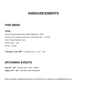# **ANNOUNCEMENTS**

# **THIS WEEK**

#### **Today**

Prayer for upcoming service (adult classroom) - 9am Family Camp Volunteer Meeting in Fellowship Hall – 11:30am Zoom Prayer Meeting - 5pm Youth Group – 5pm SPUR – 6:33pm

**Tuesday, June 28th –** NJ Blood Drive – 1pm – 7pm

## **UPCOMING EVENTS**

**July 25th - 28th -** Family Camp - 6:00 - 8:30pm **August 12th – 13th** – Women's Mini Conference

More information regarding all events can be found on our web site: lincroftbiblechurch.org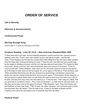# **ORDER OF SERVICE**

**Call to Worship**

**Welcome & Announcements**

**Confessional Prayer**

#### **Worship through Song**

(Children ages K - 5<sup>th</sup> grade are dismissed to LBC KIDS)

#### **Scripture Reading - Luke 16: 19-31 – New American Standard Bible 1995**

**<sup>19</sup>** "Now there was a rich man, and he habitually dressed in purple and fine linen, joyously living in splendor every day. **<sup>20</sup>** And a poor man named Lazarus was laid at his gate, covered with sores, **<sup>21</sup>** and longing to be fed with the *crumbs* which were falling from the rich man's table; besides, even the dogs were coming and licking his sores. **<sup>22</sup>** Now the poor man died and was carried away by the angels to Abraham's bosom; and the rich man also died and was buried. **<sup>23</sup>** In Hades he lifted up his eyes, being in torment, and \*saw Abraham far away and Lazarus in his bosom. **<sup>24</sup>** And he cried out and said, 'Father Abraham, have mercy on me, and send Lazarus so that he may dip the tip of his finger in water and cool off my tongue, for I am in agony in this flame.' **<sup>25</sup>** But Abraham said, 'Child, remember that during your life you received your good things, and likewise Lazarus bad things; but now he is being comforted here, and you are in agony. **<sup>26</sup>** And besides all this, between us and you there is a great chasm fixed, so that those who wish to come over from here to you will not be able, and *that* none may cross over from there to us.' **<sup>27</sup>** And he said, 'Then I beg you, father, that you send him to my father's house— **<sup>28</sup>** for I have five brothers—in order that he may warn them, so that they will not also come to this place of torment.' **<sup>29</sup>** But Abraham \*said, 'They have Moses and the Prophets; let them hear them.' **<sup>30</sup>** But he said, 'No, father Abraham, but if someone goes to them from the dead, they will repent!' **<sup>31</sup>** But he said to him, 'If they do not listen to Moses and the Prophets, they will not be persuaded even if someone rises from the dead.'"

#### **Pastoral Prayer**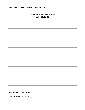### **"The Rich Man and Lazarus" Luke 16:19-31**

**Worship through Song** 

**Benediction -** You Are Sent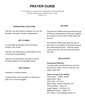# **PRAYER GUIDE**

"In everything by prayer and supplication with thanksgiving let your requests be made known to God" Philippians 4:6

#### **STRENGTHEN YOUR CORE**

That the Lord will continue to deepen our core IDs Disciples / Servants / Family / Ambassadors

#### **LBC IS FAMILY**

For the health and growth of the Community Groups in the church

That the Lord would raise up new leaders for the Community Group Ministry

That the Lord would bless our work in training the future leaders of Lincroft Bible Church

#### **OUR CHURCH**

Protection in Spiritual warfare

Thankful hearts as we consider our blessings in spite of our current struggles

#### **LBC KIDS**

Pray that our families would experience the joy of living as ambassadors as they pray together for a family to invite to LBC Family Camp this summer.

Pray that the LORD would open the eyes of the hearts of our children so that they may see and understand His word. That they would come to love Him, fear His name and walk in the Truth.

#### **OUR COUNTRY**

#### **Government Officials**

To seek wisdom and direction from God as they lead our nation, that we would be "one nation under God"

#### **Those serving in the military**

Peter Bushy – USMC, Hawaii Alyson Eng – Navy Arthur Eng – Air Force Dave Fekety –Marine Reserves, NY Thomas Merse – Navy, CA Logan Pagano – US Army, CO Matthew Przywara – USMC, NJ Eric Tolska – Army National Guard, NJ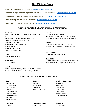### **Our Ministry Team**

**Executive Pastor:** Dennis Przywara **-** [dennis@lincroftbiblechurch.org](mailto:dennis@lincroftbiblechurch.org)

**Pastor of College Outreach, in partnership with CCO:** Dan Terracciano **-** [dan@lincroftbiblechurch.org](mailto:dan@lincroftbiblechurch.org)

**Pastor of Community & Youth Ministries:** Chris Pascarella **-** [chris@lincroftbiblechurch.org](mailto:chris@lincroftbiblechurch.org)

**Family Ministry Director:** Linda Terracciano - [linda@lincroftbiblechurch.org](mailto:linda@lincroftbiblechurch.org) 

**Office Staff:** Lynn Scott and Meghan Salas - [lbc@lincroftbiblechurch.org](mailto:lbc@lincroftbiblechurch.org)

## **Our Supported Missionaries & Ministries**

#### **Domestic**

Ken & Stephanie Akselsen, Athletes in Action (CRU), NJ Fellowship of Christan Athletes (FCA), NJ Taylor & Melanie Greenleaf (CRU), FL Anthem Church, NJ Carolyn Moore (Crossworld), HI Higher Trek, KY Redemption Housing, PA Solutions, Shrewsbury, NJ

**Asia**  Walsh family (Serge)

#### **Central Asia**

Jess D (R&T)

#### **Africa**

Brian & Joyce Flickner (retired, TEAM), South Africa Gerald & Alice Harkins, (WorldVenture), Senegal

#### **Europe**

Alky Macris (HMU), Greece Johnathan & Miriam Macris (HMU), Greece Emily Sears (ReachGlobal EFCA), Germany

#### **Mid-East**

Raymond & Leila A.M. (IPM), Lebanon Ralph & Anula J. (Eagles of Peace), Iraq to **Kurds** 

**South America** Sharon Bisbee (GMSA), Chile

#### **World Wide**

Ed & Elenore Beach, (Storyweavers Global), NC Jessie Bruccoleri, (Storyweavers Global), NJ

### **Our Church Leaders and Officers**

Chris Pascarella **Harry Rariging Chris Pascarella** Dennis Przywara Meghan Salas and Barat and Salas and Salas and Salas and Salas and Meghan Salas and Meghan Salas Fred Wolf Kachung Wong

Bob Blanton **Tom Ferrara** Matt Clayton **Tom Ferrara** Matt Clayton Pete Bruccoleri **Nancy Greenleaf** Kevin Gould Nancy Greenleaf Dave Heinmets **Steve Mabry** Steve Mabry **Steve Mabry** John Hayes William Lee **Victor Company September 2018** John Terracciano **Company Company Company Company** Omar Kurdi

#### **Elders Deacons Missions Committee**

Dan Terracciano Linda Terracciano

#### **Treasurer Financial Secretary Church Clerk**

Debi Guyton Newsletter Chen Nadan Chen Newsletter Chen Dianne Lowing